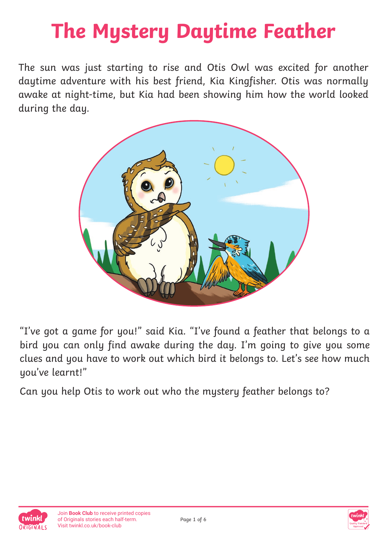# **The Mystery Daytime Feather**

The sun was just starting to rise and Otis Owl was excited for another daytime adventure with his best friend, Kia Kingfisher. Otis was normally awake at night-time, but Kia had been showing him how the world looked during the day.



"I've got a game for you!" said Kia. "I've found a feather that belongs to a bird you can only find awake during the day. I'm going to give you some clues and you have to work out which bird it belongs to. Let's see how much you've learnt!"

Can you help Otis to work out who the mystery feather belongs to?



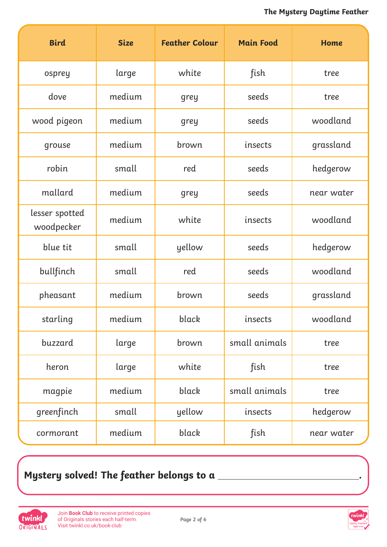| <b>Bird</b>                  | <b>Size</b> | <b>Feather Colour</b> | <b>Main Food</b> | Home       |
|------------------------------|-------------|-----------------------|------------------|------------|
| osprey                       | large       | white                 | fish             | tree       |
| dove                         | medium      | grey                  | seeds            | tree       |
| wood pigeon                  | medium      | grey                  | seeds            | woodland   |
| grouse                       | medium      | brown                 | insects          | grassland  |
| robin                        | small       | red                   | seeds            | hedgerow   |
| mallard                      | medium      | grey                  | seeds            | near water |
| lesser spotted<br>woodpecker | medium      | white                 | insects          | woodland   |
| blue tit                     | small       | yellow                | seeds            | hedgerow   |
| bullfinch                    | small       | red                   | seeds            | woodland   |
| pheasant                     | medium      | brown                 | seeds            | grassland  |
| starling                     | medium      | black                 | insects          | woodland   |
| buzzard                      | large       | brown                 | small animals    | tree       |
| heron                        | large       | white                 | fish             | tree       |
| magpie                       | medium      | black                 | small animals    | tree       |
| greenfinch                   | small       | yellow                | insects          | hedgerow   |
| cormorant                    | medium      | black                 | fish             | near water |

## **Mystery solved! The feather belongs to a .**



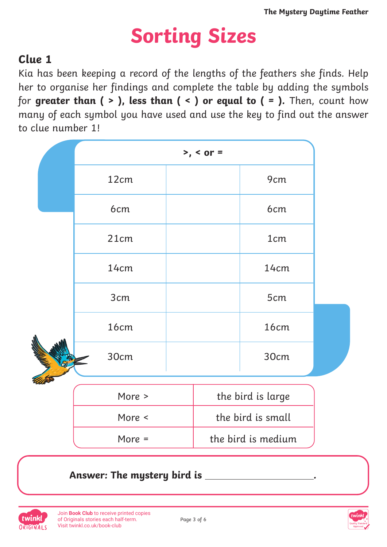# **Sorting Sizes**

### **Clue 1**

Kia has been keeping a record of the lengths of the feathers she finds. Help her to organise her findings and complete the table by adding the symbols for **greater than ( > ), less than ( < ) or equal to ( = ).** Then, count how many of each symbol you have used and use the key to find out the answer to clue number 1!

|  | $>$ , < or = |  |                    |                   |  |
|--|--------------|--|--------------------|-------------------|--|
|  | 12cm         |  |                    | 9 <sub>cm</sub>   |  |
|  | 6cm          |  |                    | 6cm               |  |
|  | 21cm         |  |                    | 1 <sub>cm</sub>   |  |
|  | 14cm         |  |                    | 14cm              |  |
|  | 3cm          |  |                    | 5cm               |  |
|  | 16cm         |  |                    | 16cm              |  |
|  | 30cm         |  |                    | 30cm              |  |
|  | More >       |  |                    | the bird is large |  |
|  | More <       |  |                    | the bird is small |  |
|  | More =       |  | the bird is medium |                   |  |

#### Answer: The mystery bird is \_



Join **Book Club** to receive printed copies [of Originals stories each half-term.](https://www.twinkl.co.uk/book-club) Visit twinkl.co.uk/book-club



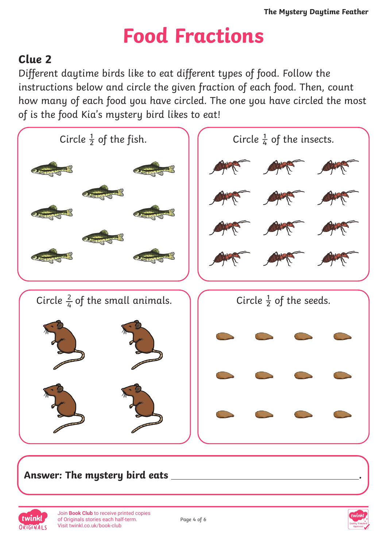# **Food Fractions**

## **Clue 2**

Different daytime birds like to eat different types of food. Follow the instructions below and circle the given fraction of each food. Then, count how many of each food you have circled. The one you have circled the most of is the food Kia's mystery bird likes to eat!



#### **Answer: The mystery bird eats .**



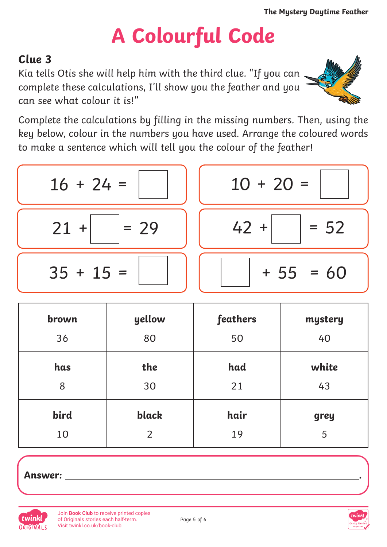# **A Colourful Code**

## **Clue 3**

Kia tells Otis she will help him with the third clue. "If you can complete these calculations, I'll show you the feather and you can see what colour it is!"



Complete the calculations by filling in the missing numbers. Then, using the key below, colour in the numbers you have used. Arrange the coloured words to make a sentence which will tell you the colour of the feather!

$$
\begin{array}{|c|c|c|c|c|}\n\hline\n16 + 24 & = & \\
\hline\n21 + & = & 29 \\
\hline\n35 + 15 & = & \\
\hline\n\end{array}\n\quad\n\begin{array}{|c|c|c|}\n\hline\n42 + & = & 52 \\
\hline\n42 + & = & 52 \\
\hline\n\end{array}
$$

| brown | yellow         | feathers | mystery |
|-------|----------------|----------|---------|
| 36    | 80             | 50       | 40      |
| has   | the            | had      | white   |
| 8     | 30             | 21       | 43      |
| bird  | black          | hair     | grey    |
| 10    | $\overline{2}$ | 19       | 5       |

**Answer: .**





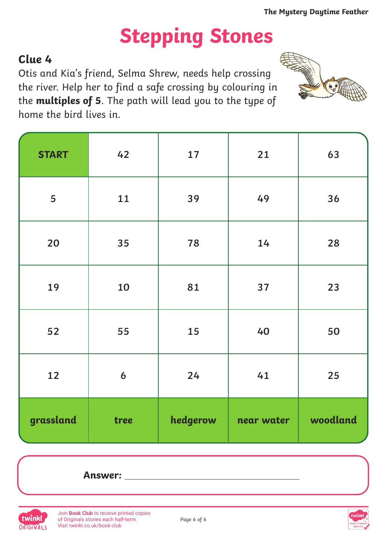$\mathbf{a}$ 

# **Stepping Stones**

### **Clue 4**

Otis and Kia's friend, Selma Shrew, needs help crossing the river. Help her to find a safe crossing by colouring in the **multiples of 5**. The path will lead you to the type of home the bird lives in.

| <b>START</b> | 42               | 17       | 21         | 63       |
|--------------|------------------|----------|------------|----------|
| 5            | 11               | 39       | 49         | 36       |
| 20           | 35               | 78       | 14         | 28       |
| 19           | 10               | 81       | 37         | 23       |
| 52           | 55               | 15       | 40         | 50       |
| 12           | $\boldsymbol{6}$ | 24       | 41         | 25       |
| grassland    | tree             | hedgerow | near water | woodland |





Join **Book Club** to receive printed copies [of Originals stories each half-term.](https://www.twinkl.co.uk/book-club) Visit twinkl.co.uk/book-club



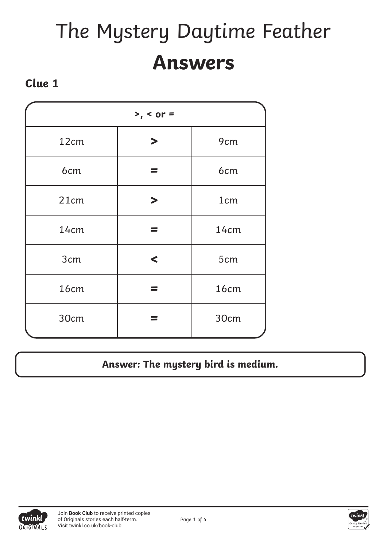# The Mystery Daytime Feather **Answers**

#### **Clue 1**

| $> 5$ , < or = |                       |                 |  |  |
|----------------|-----------------------|-----------------|--|--|
| 12cm           | $\blacktriangleright$ | 9cm             |  |  |
| 6cm            |                       | 6cm             |  |  |
| 21cm           | $\blacktriangleright$ | 1 <sub>cm</sub> |  |  |
| 14cm           |                       | 14cm            |  |  |
| 3cm            | $\blacktriangleleft$  | 5cm             |  |  |
| 16cm           |                       | 16cm            |  |  |
| 30cm           |                       | 30cm            |  |  |

#### **Answer: The mystery bird is medium.**



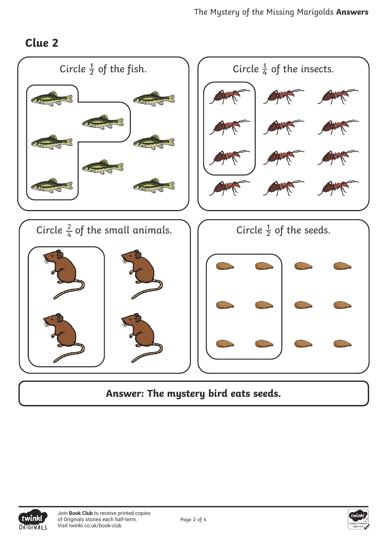#### **Clue 2**



**Answer: The mystery bird eats seeds.**



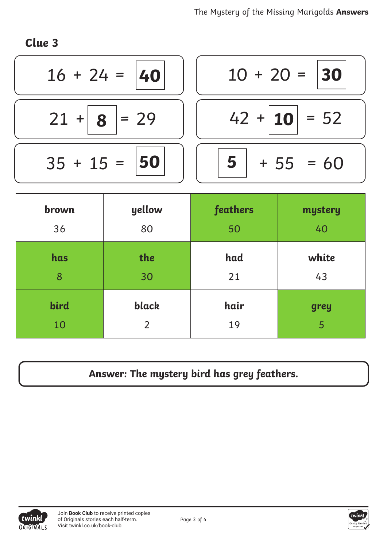**Clue 3**

| $16 + 24 = 40$    | $10 + 20 =  30 $ |
|-------------------|------------------|
| $21 +   8   = 29$ | $42 +  10  = 52$ |
| $35 + 15 =  50 $  | $+ 55 = 60$      |

| brown | yellow | feathers | mystery |
|-------|--------|----------|---------|
| 36    | 80     | 50       | 40      |
| has   | the    | had      | white   |
| 8     | 30     | 21       | 43      |
| bird  | black  | hair     | grey    |
| 10    | 2      | 19       | 5       |

## **Answer: The mystery bird has grey feathers.**